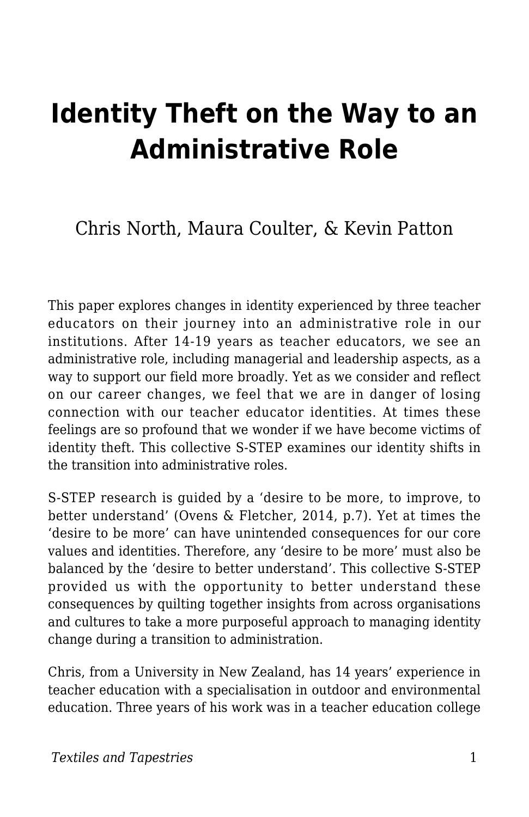# **Identity Theft on the Way to an Administrative Role**

Chris North, Maura Coulter, & Kevin Patton

This paper explores changes in identity experienced by three teacher educators on their journey into an administrative role in our institutions. After 14-19 years as teacher educators, we see an administrative role, including managerial and leadership aspects, as a way to support our field more broadly. Yet as we consider and reflect on our career changes, we feel that we are in danger of losing connection with our teacher educator identities. At times these feelings are so profound that we wonder if we have become victims of identity theft. This collective S-STEP examines our identity shifts in the transition into administrative roles.

S-STEP research is guided by a 'desire to be more, to improve, to better understand' (Ovens & Fletcher, 2014, p.7). Yet at times the 'desire to be more' can have unintended consequences for our core values and identities. Therefore, any 'desire to be more' must also be balanced by the 'desire to better understand'. This collective S-STEP provided us with the opportunity to better understand these consequences by quilting together insights from across organisations and cultures to take a more purposeful approach to managing identity change during a transition to administration.

Chris, from a University in New Zealand, has 14 years' experience in teacher education with a specialisation in outdoor and environmental education. Three years of his work was in a teacher education college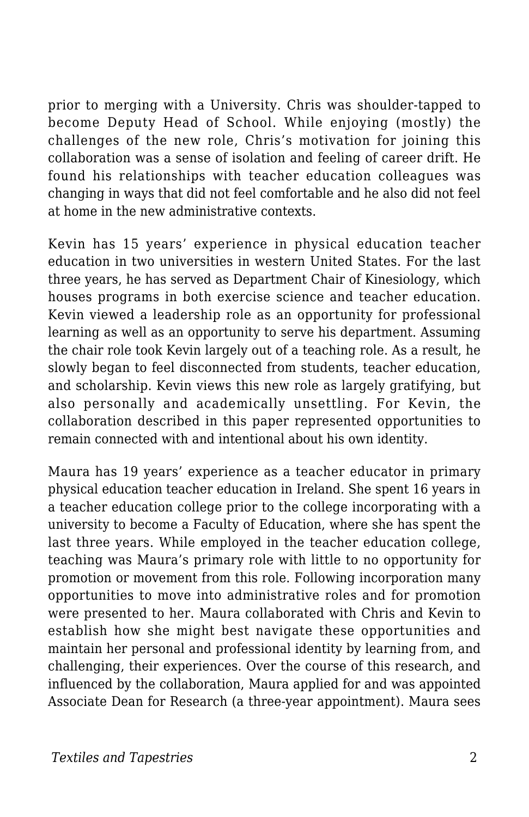prior to merging with a University. Chris was shoulder-tapped to become Deputy Head of School. While enjoying (mostly) the challenges of the new role, Chris's motivation for joining this collaboration was a sense of isolation and feeling of career drift. He found his relationships with teacher education colleagues was changing in ways that did not feel comfortable and he also did not feel at home in the new administrative contexts.

Kevin has 15 years' experience in physical education teacher education in two universities in western United States. For the last three years, he has served as Department Chair of Kinesiology, which houses programs in both exercise science and teacher education. Kevin viewed a leadership role as an opportunity for professional learning as well as an opportunity to serve his department. Assuming the chair role took Kevin largely out of a teaching role. As a result, he slowly began to feel disconnected from students, teacher education, and scholarship. Kevin views this new role as largely gratifying, but also personally and academically unsettling. For Kevin, the collaboration described in this paper represented opportunities to remain connected with and intentional about his own identity.

Maura has 19 years' experience as a teacher educator in primary physical education teacher education in Ireland. She spent 16 years in a teacher education college prior to the college incorporating with a university to become a Faculty of Education, where she has spent the last three years. While employed in the teacher education college, teaching was Maura's primary role with little to no opportunity for promotion or movement from this role. Following incorporation many opportunities to move into administrative roles and for promotion were presented to her. Maura collaborated with Chris and Kevin to establish how she might best navigate these opportunities and maintain her personal and professional identity by learning from, and challenging, their experiences. Over the course of this research, and influenced by the collaboration, Maura applied for and was appointed Associate Dean for Research (a three-year appointment). Maura sees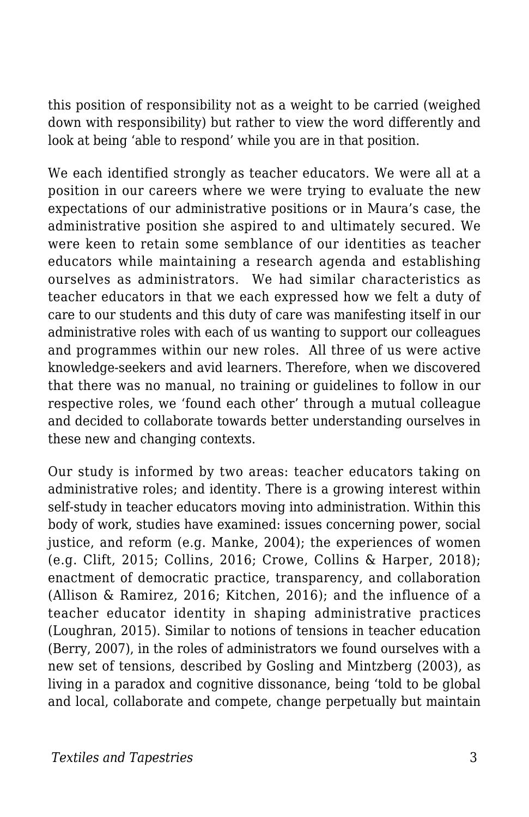this position of responsibility not as a weight to be carried (weighed down with responsibility) but rather to view the word differently and look at being 'able to respond' while you are in that position.

We each identified strongly as teacher educators. We were all at a position in our careers where we were trying to evaluate the new expectations of our administrative positions or in Maura's case, the administrative position she aspired to and ultimately secured. We were keen to retain some semblance of our identities as teacher educators while maintaining a research agenda and establishing ourselves as administrators. We had similar characteristics as teacher educators in that we each expressed how we felt a duty of care to our students and this duty of care was manifesting itself in our administrative roles with each of us wanting to support our colleagues and programmes within our new roles. All three of us were active knowledge-seekers and avid learners. Therefore, when we discovered that there was no manual, no training or guidelines to follow in our respective roles, we 'found each other' through a mutual colleague and decided to collaborate towards better understanding ourselves in these new and changing contexts.

Our study is informed by two areas: teacher educators taking on administrative roles; and identity. There is a growing interest within self-study in teacher educators moving into administration. Within this body of work, studies have examined: issues concerning power, social justice, and reform (e.g. Manke, 2004); the experiences of women (e.g. Clift, 2015; Collins, 2016; Crowe, Collins & Harper, 2018); enactment of democratic practice, transparency, and collaboration (Allison & Ramirez, 2016; Kitchen, 2016); and the influence of a teacher educator identity in shaping administrative practices (Loughran, 2015). Similar to notions of tensions in teacher education (Berry, 2007), in the roles of administrators we found ourselves with a new set of tensions, described by Gosling and Mintzberg (2003), as living in a paradox and cognitive dissonance, being 'told to be global and local, collaborate and compete, change perpetually but maintain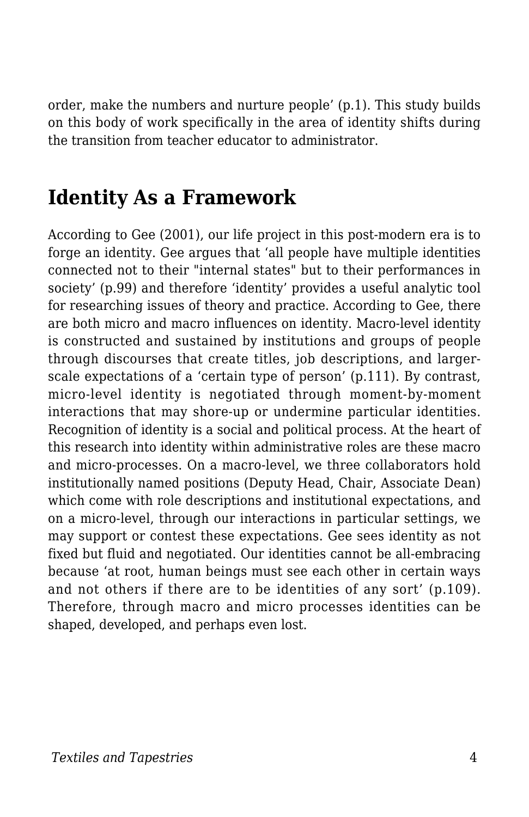order, make the numbers and nurture people' (p.1). This study builds on this body of work specifically in the area of identity shifts during the transition from teacher educator to administrator.

### **Identity As a Framework**

According to Gee (2001), our life project in this post-modern era is to forge an identity. Gee argues that 'all people have multiple identities connected not to their "internal states" but to their performances in society' (p.99) and therefore 'identity' provides a useful analytic tool for researching issues of theory and practice. According to Gee, there are both micro and macro influences on identity. Macro-level identity is constructed and sustained by institutions and groups of people through discourses that create titles, job descriptions, and largerscale expectations of a 'certain type of person' (p.111). By contrast, micro-level identity is negotiated through moment-by-moment interactions that may shore-up or undermine particular identities. Recognition of identity is a social and political process. At the heart of this research into identity within administrative roles are these macro and micro-processes. On a macro-level, we three collaborators hold institutionally named positions (Deputy Head, Chair, Associate Dean) which come with role descriptions and institutional expectations, and on a micro-level, through our interactions in particular settings, we may support or contest these expectations. Gee sees identity as not fixed but fluid and negotiated. Our identities cannot be all-embracing because 'at root, human beings must see each other in certain ways and not others if there are to be identities of any sort' (p.109). Therefore, through macro and micro processes identities can be shaped, developed, and perhaps even lost.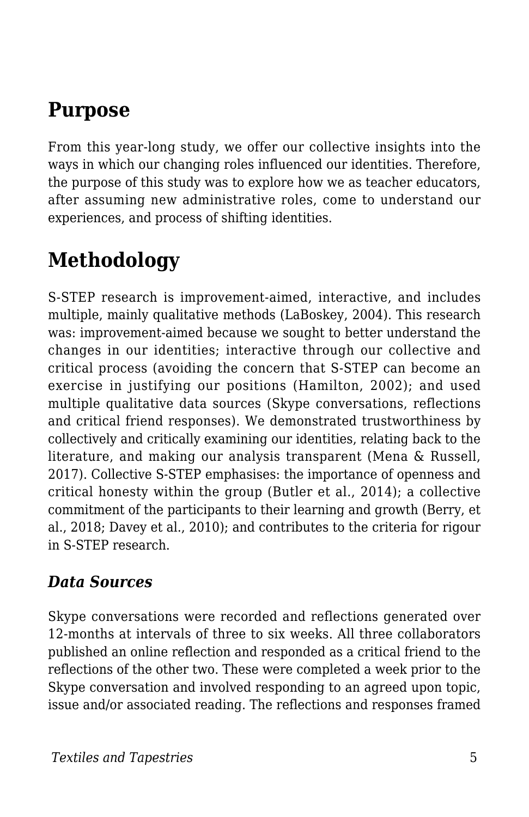### **Purpose**

From this year-long study, we offer our collective insights into the ways in which our changing roles influenced our identities. Therefore, the purpose of this study was to explore how we as teacher educators, after assuming new administrative roles, come to understand our experiences, and process of shifting identities.

# **Methodology**

S-STEP research is improvement-aimed, interactive, and includes multiple, mainly qualitative methods (LaBoskey, 2004). This research was: improvement-aimed because we sought to better understand the changes in our identities; interactive through our collective and critical process (avoiding the concern that S-STEP can become an exercise in justifying our positions (Hamilton, 2002); and used multiple qualitative data sources (Skype conversations, reflections and critical friend responses). We demonstrated trustworthiness by collectively and critically examining our identities, relating back to the literature, and making our analysis transparent (Mena & Russell, 2017). Collective S-STEP emphasises: the importance of openness and critical honesty within the group (Butler et al., 2014); a collective commitment of the participants to their learning and growth (Berry, et al., 2018; Davey et al., 2010); and contributes to the criteria for rigour in S-STEP research.

#### *Data Sources*

Skype conversations were recorded and reflections generated over 12-months at intervals of three to six weeks. All three collaborators published an online reflection and responded as a critical friend to the reflections of the other two. These were completed a week prior to the Skype conversation and involved responding to an agreed upon topic, issue and/or associated reading. The reflections and responses framed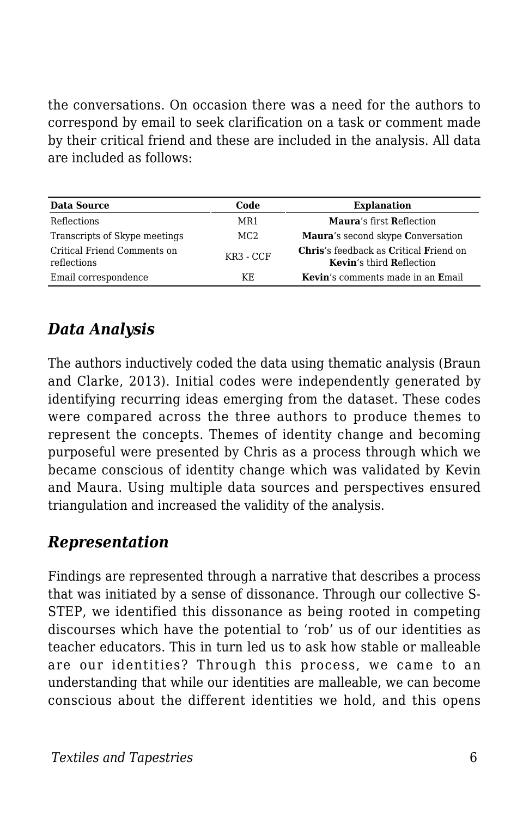the conversations. On occasion there was a need for the authors to correspond by email to seek clarification on a task or comment made by their critical friend and these are included in the analysis. All data are included as follows:

| <b>Data Source</b>                         | Code            | <b>Explanation</b>                                                               |
|--------------------------------------------|-----------------|----------------------------------------------------------------------------------|
| <b>Reflections</b>                         | MR1             | Maura's first Reflection                                                         |
| Transcripts of Skype meetings              | MC <sub>2</sub> | Maura's second skype Conversation                                                |
| Critical Friend Comments on<br>reflections | $KR3 - CCF$     | <b>Chris's feedback as Critical Friend on</b><br><b>Kevin's third Reflection</b> |
| Email correspondence                       | KF.             | <b>Kevin's comments made in an Email</b>                                         |

### *Data Analysis*

The authors inductively coded the data using thematic analysis (Braun and Clarke, 2013). Initial codes were independently generated by identifying recurring ideas emerging from the dataset. These codes were compared across the three authors to produce themes to represent the concepts. Themes of identity change and becoming purposeful were presented by Chris as a process through which we became conscious of identity change which was validated by Kevin and Maura. Using multiple data sources and perspectives ensured triangulation and increased the validity of the analysis.

#### *Representation*

Findings are represented through a narrative that describes a process that was initiated by a sense of dissonance. Through our collective S-STEP, we identified this dissonance as being rooted in competing discourses which have the potential to 'rob' us of our identities as teacher educators. This in turn led us to ask how stable or malleable are our identities? Through this process, we came to an understanding that while our identities are malleable, we can become conscious about the different identities we hold, and this opens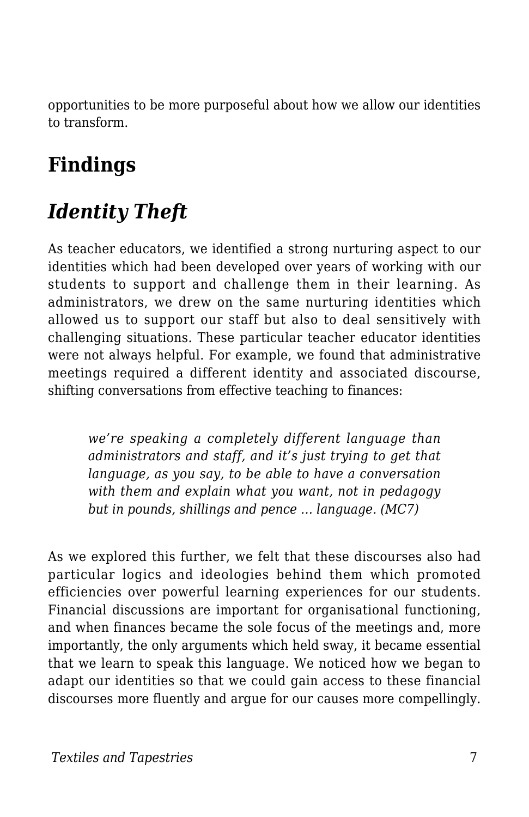opportunities to be more purposeful about how we allow our identities to transform.

# **Findings**

# *Identity Theft*

As teacher educators, we identified a strong nurturing aspect to our identities which had been developed over years of working with our students to support and challenge them in their learning. As administrators, we drew on the same nurturing identities which allowed us to support our staff but also to deal sensitively with challenging situations. These particular teacher educator identities were not always helpful. For example, we found that administrative meetings required a different identity and associated discourse, shifting conversations from effective teaching to finances:

*we're speaking a completely different language than administrators and staff, and it's just trying to get that language, as you say, to be able to have a conversation with them and explain what you want, not in pedagogy but in pounds, shillings and pence … language. (MC7)*

As we explored this further, we felt that these discourses also had particular logics and ideologies behind them which promoted efficiencies over powerful learning experiences for our students. Financial discussions are important for organisational functioning, and when finances became the sole focus of the meetings and, more importantly, the only arguments which held sway, it became essential that we learn to speak this language. We noticed how we began to adapt our identities so that we could gain access to these financial discourses more fluently and argue for our causes more compellingly.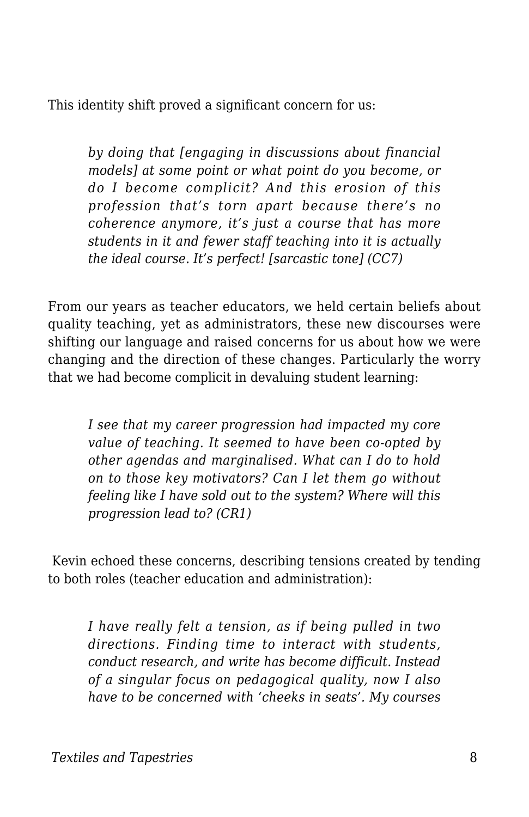This identity shift proved a significant concern for us:

*by doing that [engaging in discussions about financial models] at some point or what point do you become, or do I become complicit? And this erosion of this profession that's torn apart because there's no coherence anymore, it's just a course that has more students in it and fewer staff teaching into it is actually the ideal course. It's perfect! [sarcastic tone] (CC7)*

From our years as teacher educators, we held certain beliefs about quality teaching, yet as administrators, these new discourses were shifting our language and raised concerns for us about how we were changing and the direction of these changes. Particularly the worry that we had become complicit in devaluing student learning:

*I see that my career progression had impacted my core value of teaching. It seemed to have been co-opted by other agendas and marginalised. What can I do to hold on to those key motivators? Can I let them go without feeling like I have sold out to the system? Where will this progression lead to? (CR1)*

Kevin echoed these concerns, describing tensions created by tending to both roles (teacher education and administration):

*I have really felt a tension, as if being pulled in two directions. Finding time to interact with students, conduct research, and write has become difficult. Instead of a singular focus on pedagogical quality, now I also have to be concerned with 'cheeks in seats'. My courses*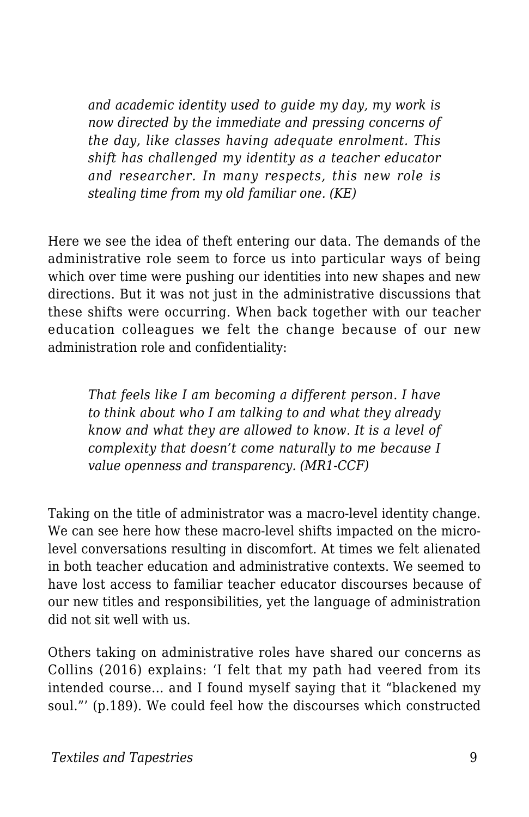*and academic identity used to guide my day, my work is now directed by the immediate and pressing concerns of the day, like classes having adequate enrolment. This shift has challenged my identity as a teacher educator and researcher. In many respects, this new role is stealing time from my old familiar one. (KE)*

Here we see the idea of theft entering our data. The demands of the administrative role seem to force us into particular ways of being which over time were pushing our identities into new shapes and new directions. But it was not just in the administrative discussions that these shifts were occurring. When back together with our teacher education colleagues we felt the change because of our new administration role and confidentiality:

*That feels like I am becoming a different person. I have to think about who I am talking to and what they already know and what they are allowed to know. It is a level of complexity that doesn't come naturally to me because I value openness and transparency. (MR1-CCF)*

Taking on the title of administrator was a macro-level identity change. We can see here how these macro-level shifts impacted on the microlevel conversations resulting in discomfort. At times we felt alienated in both teacher education and administrative contexts. We seemed to have lost access to familiar teacher educator discourses because of our new titles and responsibilities, yet the language of administration did not sit well with us.

Others taking on administrative roles have shared our concerns as Collins (2016) explains: 'I felt that my path had veered from its intended course... and I found myself saying that it "blackened my soul."' (p.189). We could feel how the discourses which constructed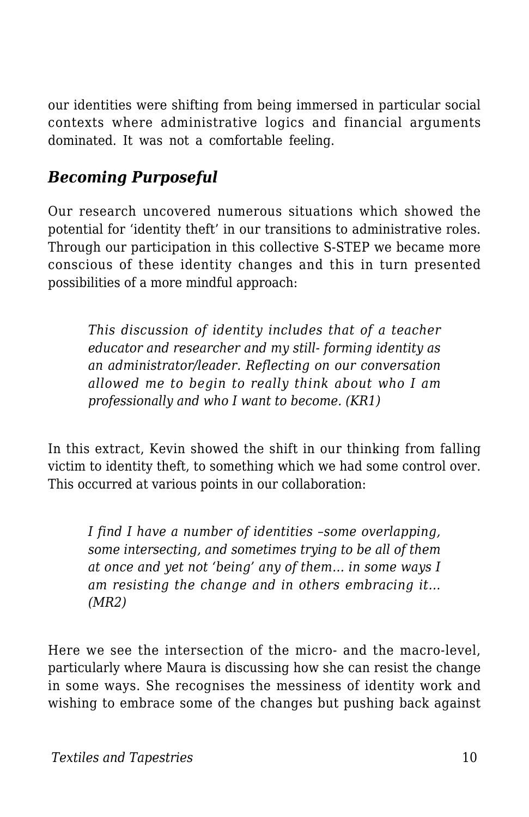our identities were shifting from being immersed in particular social contexts where administrative logics and financial arguments dominated. It was not a comfortable feeling.

#### *Becoming Purposeful*

Our research uncovered numerous situations which showed the potential for 'identity theft' in our transitions to administrative roles. Through our participation in this collective S-STEP we became more conscious of these identity changes and this in turn presented possibilities of a more mindful approach:

*This discussion of identity includes that of a teacher educator and researcher and my still- forming identity as an administrator/leader. Reflecting on our conversation allowed me to begin to really think about who I am professionally and who I want to become. (KR1)*

In this extract, Kevin showed the shift in our thinking from falling victim to identity theft, to something which we had some control over. This occurred at various points in our collaboration:

*I find I have a number of identities –some overlapping, some intersecting, and sometimes trying to be all of them at once and yet not 'being' any of them… in some ways I am resisting the change and in others embracing it… (MR2)*

Here we see the intersection of the micro- and the macro-level, particularly where Maura is discussing how she can resist the change in some ways. She recognises the messiness of identity work and wishing to embrace some of the changes but pushing back against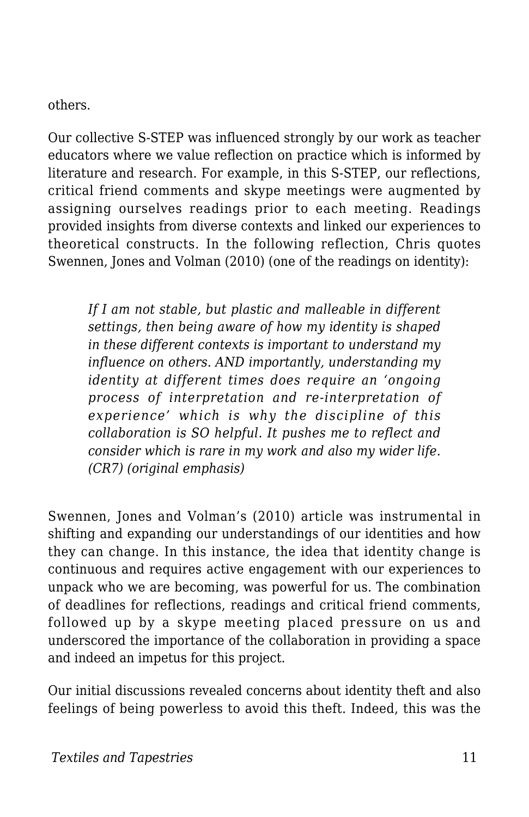#### others.

Our collective S-STEP was influenced strongly by our work as teacher educators where we value reflection on practice which is informed by literature and research. For example, in this S-STEP, our reflections, critical friend comments and skype meetings were augmented by assigning ourselves readings prior to each meeting. Readings provided insights from diverse contexts and linked our experiences to theoretical constructs. In the following reflection, Chris quotes Swennen, Jones and Volman (2010) (one of the readings on identity):

*If I am not stable, but plastic and malleable in different settings, then being aware of how my identity is shaped in these different contexts is important to understand my influence on others. AND importantly, understanding my identity at different times does require an 'ongoing process of interpretation and re-interpretation of experience' which is why the discipline of this collaboration is SO helpful. It pushes me to reflect and consider which is rare in my work and also my wider life. (CR7) (original emphasis)*

Swennen, Jones and Volman's (2010) article was instrumental in shifting and expanding our understandings of our identities and how they can change. In this instance, the idea that identity change is continuous and requires active engagement with our experiences to unpack who we are becoming, was powerful for us. The combination of deadlines for reflections, readings and critical friend comments, followed up by a skype meeting placed pressure on us and underscored the importance of the collaboration in providing a space and indeed an impetus for this project.

Our initial discussions revealed concerns about identity theft and also feelings of being powerless to avoid this theft. Indeed, this was the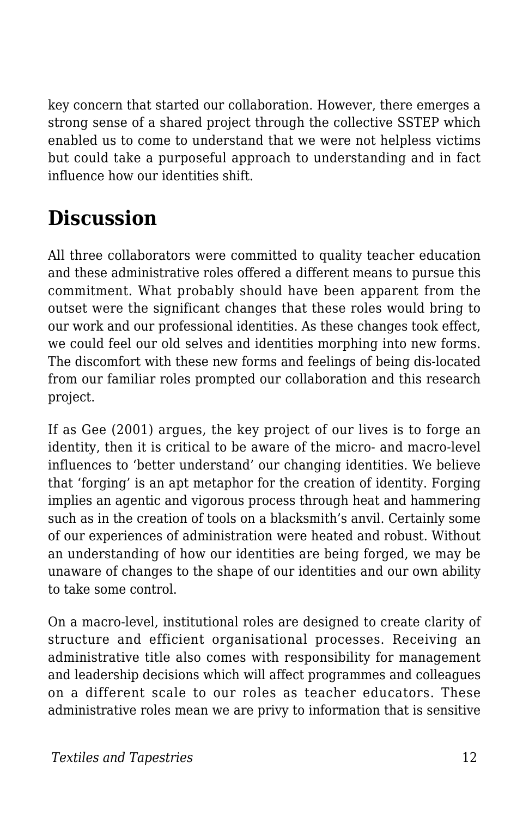key concern that started our collaboration. However, there emerges a strong sense of a shared project through the collective SSTEP which enabled us to come to understand that we were not helpless victims but could take a purposeful approach to understanding and in fact influence how our identities shift.

# **Discussion**

All three collaborators were committed to quality teacher education and these administrative roles offered a different means to pursue this commitment. What probably should have been apparent from the outset were the significant changes that these roles would bring to our work and our professional identities. As these changes took effect, we could feel our old selves and identities morphing into new forms. The discomfort with these new forms and feelings of being dis-located from our familiar roles prompted our collaboration and this research project.

If as Gee (2001) argues, the key project of our lives is to forge an identity, then it is critical to be aware of the micro- and macro-level influences to 'better understand' our changing identities. We believe that 'forging' is an apt metaphor for the creation of identity. Forging implies an agentic and vigorous process through heat and hammering such as in the creation of tools on a blacksmith's anvil. Certainly some of our experiences of administration were heated and robust. Without an understanding of how our identities are being forged, we may be unaware of changes to the shape of our identities and our own ability to take some control.

On a macro-level, institutional roles are designed to create clarity of structure and efficient organisational processes. Receiving an administrative title also comes with responsibility for management and leadership decisions which will affect programmes and colleagues on a different scale to our roles as teacher educators. These administrative roles mean we are privy to information that is sensitive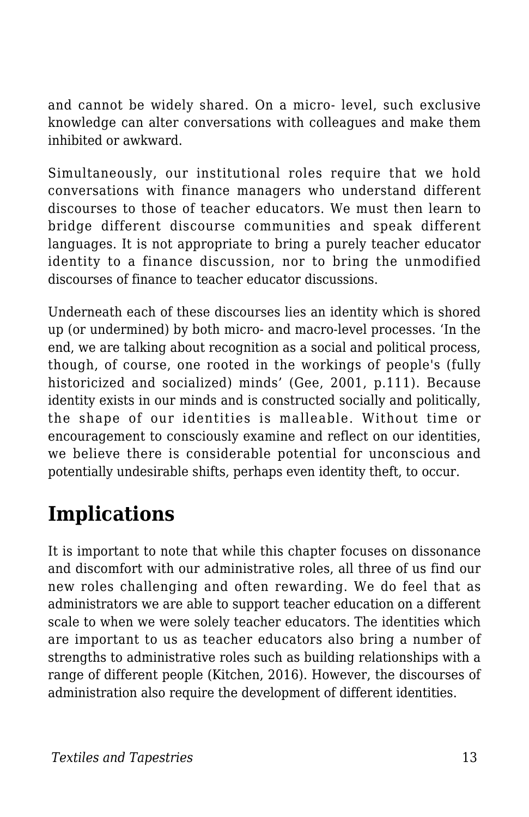and cannot be widely shared. On a micro- level, such exclusive knowledge can alter conversations with colleagues and make them inhibited or awkward.

Simultaneously, our institutional roles require that we hold conversations with finance managers who understand different discourses to those of teacher educators. We must then learn to bridge different discourse communities and speak different languages. It is not appropriate to bring a purely teacher educator identity to a finance discussion, nor to bring the unmodified discourses of finance to teacher educator discussions.

Underneath each of these discourses lies an identity which is shored up (or undermined) by both micro- and macro-level processes. 'In the end, we are talking about recognition as a social and political process, though, of course, one rooted in the workings of people's (fully historicized and socialized) minds' (Gee, 2001, p.111). Because identity exists in our minds and is constructed socially and politically, the shape of our identities is malleable. Without time or encouragement to consciously examine and reflect on our identities, we believe there is considerable potential for unconscious and potentially undesirable shifts, perhaps even identity theft, to occur.

### **Implications**

It is important to note that while this chapter focuses on dissonance and discomfort with our administrative roles, all three of us find our new roles challenging and often rewarding. We do feel that as administrators we are able to support teacher education on a different scale to when we were solely teacher educators. The identities which are important to us as teacher educators also bring a number of strengths to administrative roles such as building relationships with a range of different people (Kitchen, 2016). However, the discourses of administration also require the development of different identities.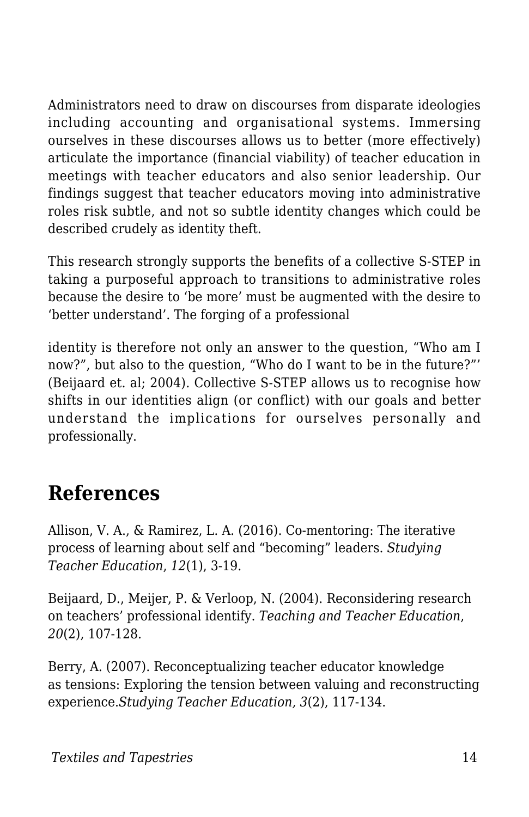Administrators need to draw on discourses from disparate ideologies including accounting and organisational systems. Immersing ourselves in these discourses allows us to better (more effectively) articulate the importance (financial viability) of teacher education in meetings with teacher educators and also senior leadership. Our findings suggest that teacher educators moving into administrative roles risk subtle, and not so subtle identity changes which could be described crudely as identity theft.

This research strongly supports the benefits of a collective S-STEP in taking a purposeful approach to transitions to administrative roles because the desire to 'be more' must be augmented with the desire to 'better understand'. The forging of a professional

identity is therefore not only an answer to the question, "Who am I now?", but also to the question, "Who do I want to be in the future?"' (Beijaard et. al; 2004). Collective S-STEP allows us to recognise how shifts in our identities align (or conflict) with our goals and better understand the implications for ourselves personally and professionally.

### **References**

Allison, V. A., & Ramirez, L. A. (2016). Co-mentoring: The iterative process of learning about self and "becoming" leaders. *Studying Teacher Education*, *12*(1), 3-19.

Beijaard, D., Meijer, P. & Verloop, N. (2004). Reconsidering research on teachers' professional identify. *Teaching and Teacher Education*, *20*(2), 107-128.

Berry, A. (2007). Reconceptualizing teacher educator knowledge as tensions: Exploring the tension between valuing and reconstructing experience.*Studying Teacher Education, 3*(2), 117-134.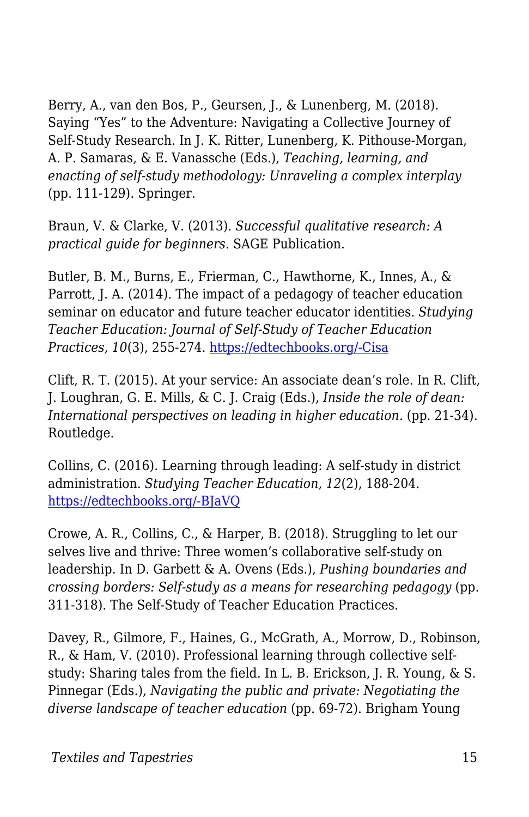Berry, A., van den Bos, P., Geursen, J., & Lunenberg, M. (2018). Saying "Yes" to the Adventure: Navigating a Collective Journey of Self-Study Research. In J. K. Ritter, Lunenberg, K. Pithouse-Morgan, A. P. Samaras, & E. Vanassche (Eds.), *Teaching, learning, and enacting of self-study methodology: Unraveling a complex interplay* (pp. 111-129). Springer.

Braun, V. & Clarke, V. (2013). *Successful qualitative research: A practical guide for beginners*. SAGE Publication.

Butler, B. M., Burns, E., Frierman, C., Hawthorne, K., Innes, A., & Parrott, J. A. (2014). The impact of a pedagogy of teacher education seminar on educator and future teacher educator identities. *Studying Teacher Education: Journal of Self-Study of Teacher Education Practices, 10*(3), 255-274. [https://edtechbooks.org/-Cisa](https://doi.org/10.1080/17425964.2014.956716)

Clift, R. T. (2015). At your service: An associate dean's role. In R. Clift, J. Loughran, G. E. Mills, & C. J. Craig (Eds.), *Inside the role of dean: International perspectives on leading in higher education.* (pp. 21-34). Routledge.

Collins, C. (2016). Learning through leading: A self-study in district administration. *Studying Teacher Education, 12*(2), 188-204. [https://edtechbooks.org/-BJaVQ](https://doi.org/10.1080/17425964.2016.1192029)

Crowe, A. R., Collins, C., & Harper, B. (2018). Struggling to let our selves live and thrive: Three women's collaborative self-study on leadership. In D. Garbett & A. Ovens (Eds.), *Pushing boundaries and crossing borders: Self-study as a means for researching pedagogy* (pp. 311-318). The Self-Study of Teacher Education Practices.

Davey, R., Gilmore, F., Haines, G., McGrath, A., Morrow, D., Robinson, R., & Ham, V. (2010). Professional learning through collective selfstudy: Sharing tales from the field. In L. B. Erickson, J. R. Young, & S. Pinnegar (Eds.), *Navigating the public and private: Negotiating the diverse landscape of teacher education* (pp. 69-72). Brigham Young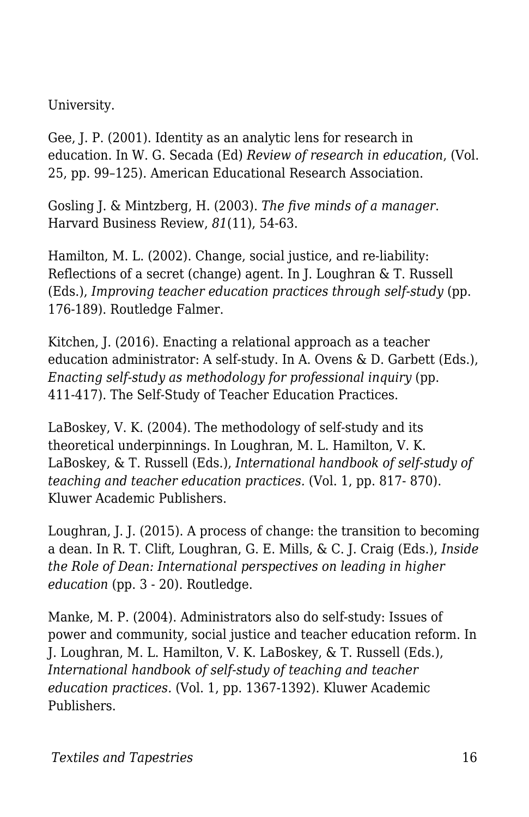University.

Gee, J. P. (2001). Identity as an analytic lens for research in education. In W. G. Secada (Ed) *Review of research in education*, (Vol. 25, pp. 99–125). American Educational Research Association.

Gosling J. & Mintzberg, H. (2003). *The five minds of a manager*. Harvard Business Review, *81*(11), 54-63.

Hamilton, M. L. (2002). Change, social justice, and re-liability: Reflections of a secret (change) agent. In J. Loughran & T. Russell (Eds.), *Improving teacher education practices through self-study* (pp. 176-189). Routledge Falmer.

Kitchen, J. (2016). Enacting a relational approach as a teacher education administrator: A self-study. In A. Ovens & D. Garbett (Eds.), *Enacting self-study as methodology for professional inquiry* (pp. 411-417). The Self-Study of Teacher Education Practices.

LaBoskey, V. K. (2004). The methodology of self-study and its theoretical underpinnings. In Loughran, M. L. Hamilton, V. K. LaBoskey, & T. Russell (Eds.), *International handbook of self-study of teaching and teacher education practices.* (Vol. 1, pp. 817- 870). Kluwer Academic Publishers.

Loughran, J. J. (2015). A process of change: the transition to becoming a dean. In R. T. Clift, Loughran, G. E. Mills, & C. J. Craig (Eds.), *Inside the Role of Dean: International perspectives on leading in higher education* (pp. 3 - 20). Routledge.

Manke, M. P. (2004). Administrators also do self-study: Issues of power and community, social justice and teacher education reform. In J. Loughran, M. L. Hamilton, V. K. LaBoskey, & T. Russell (Eds.), *International handbook of self-study of teaching and teacher education practices.* (Vol. 1, pp. 1367-1392). Kluwer Academic Publishers.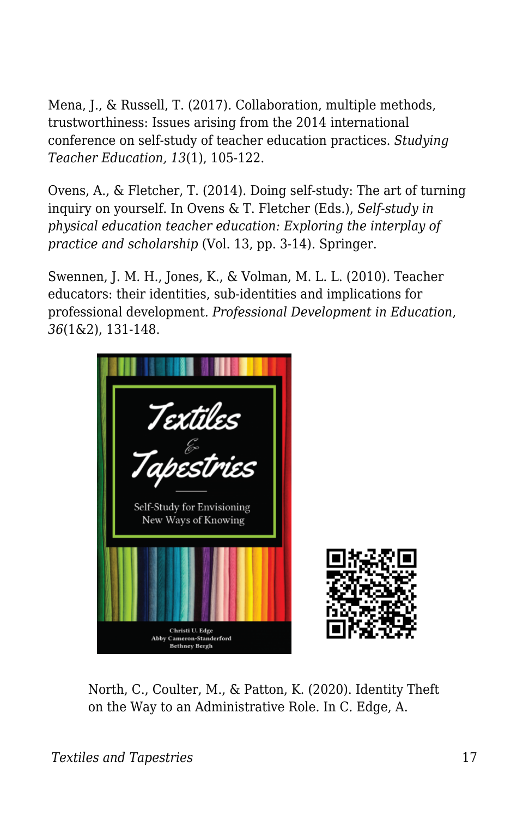Mena, J., & Russell, T. (2017). Collaboration, multiple methods, trustworthiness: Issues arising from the 2014 international conference on self-study of teacher education practices. *Studying Teacher Education, 13*(1), 105-122.

Ovens, A., & Fletcher, T. (2014). Doing self-study: The art of turning inquiry on yourself. In Ovens & T. Fletcher (Eds.), *Self-study in physical education teacher education: Exploring the interplay of practice and scholarship* (Vol. 13, pp. 3-14). Springer.

Swennen, J. M. H., Jones, K., & Volman, M. L. L. (2010). Teacher educators: their identities, sub-identities and implications for professional development. *Professional Development in Education*, *36*(1&2), 131-148.



North, C., Coulter, M., & Patton, K. (2020). Identity Theft on the Way to an Administrative Role. In C. Edge, A.